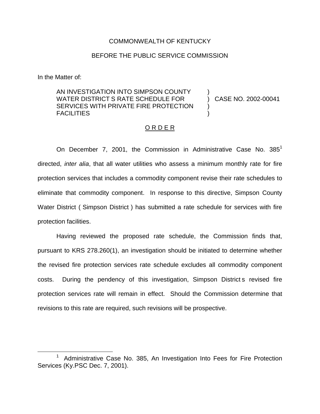### COMMONWEALTH OF KENTUCKY

## BEFORE THE PUBLIC SERVICE COMMISSION

In the Matter of:

# AN INVESTIGATION INTO SIMPSON COUNTY WATER DISTRICT S RATE SCHEDULE FOR SERVICES WITH PRIVATE FIRE PROTECTION FACILITIES

) CASE NO. 2002-00041

)

) )

#### O R D E R

On December 7, 2001, the Commission in Administrative Case No.  $385<sup>1</sup>$ directed, *inter alia*, that all water utilities who assess a minimum monthly rate for fire protection services that includes a commodity component revise their rate schedules to eliminate that commodity component. In response to this directive, Simpson County Water District ( Simpson District ) has submitted a rate schedule for services with fire protection facilities.

Having reviewed the proposed rate schedule, the Commission finds that, pursuant to KRS 278.260(1), an investigation should be initiated to determine whether the revised fire protection services rate schedule excludes all commodity component costs. During the pendency of this investigation, Simpson District s revised fire protection services rate will remain in effect. Should the Commission determine that revisions to this rate are required, such revisions will be prospective.

<sup>1</sup> Administrative Case No. 385, An Investigation Into Fees for Fire Protection Services (Ky.PSC Dec. 7, 2001).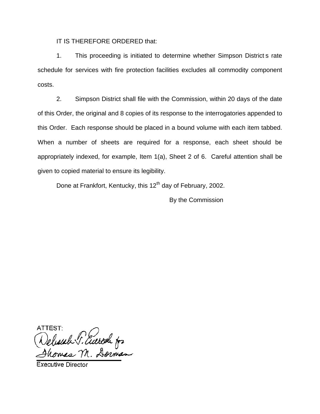IT IS THEREFORE ORDERED that:

1. This proceeding is initiated to determine whether Simpson District s rate schedule for services with fire protection facilities excludes all commodity component costs.

2. Simpson District shall file with the Commission, within 20 days of the date of this Order, the original and 8 copies of its response to the interrogatories appended to this Order. Each response should be placed in a bound volume with each item tabbed. When a number of sheets are required for a response, each sheet should be appropriately indexed, for example, Item 1(a), Sheet 2 of 6. Careful attention shall be given to copied material to ensure its legibility.

Done at Frankfort, Kentucky, this 12<sup>th</sup> day of February, 2002.

By the Commission

ATTEST Selescale P. Euerode for<br>Homas M. Dorman

**Executive Director**